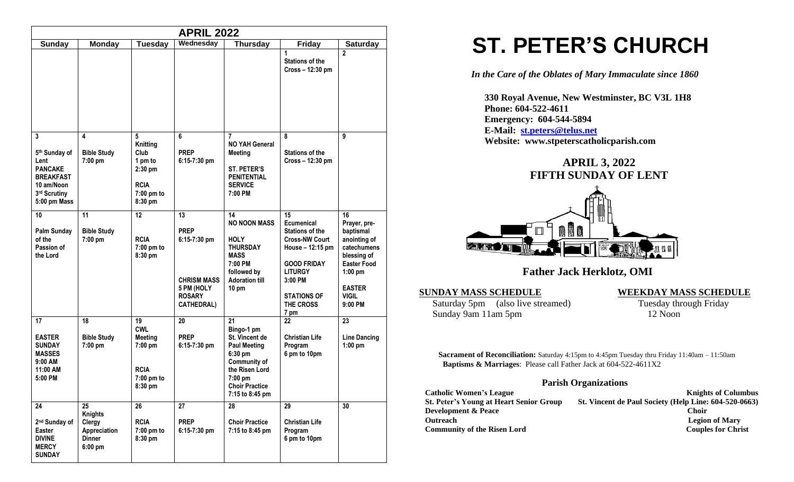| <b>APRIL 2022</b>                                                                                              |                                                                              |                                                                                            |                                                                                                               |                                                                                                                                                               |                                                                                                                                                                                       |                                                                                                                                                              |
|----------------------------------------------------------------------------------------------------------------|------------------------------------------------------------------------------|--------------------------------------------------------------------------------------------|---------------------------------------------------------------------------------------------------------------|---------------------------------------------------------------------------------------------------------------------------------------------------------------|---------------------------------------------------------------------------------------------------------------------------------------------------------------------------------------|--------------------------------------------------------------------------------------------------------------------------------------------------------------|
| <b>Sunday</b>                                                                                                  | <b>Monday</b>                                                                | <b>Tuesday</b>                                                                             | Wednesday                                                                                                     | <b>Thursday</b>                                                                                                                                               | <b>Friday</b>                                                                                                                                                                         | <b>Saturday</b>                                                                                                                                              |
|                                                                                                                |                                                                              |                                                                                            |                                                                                                               |                                                                                                                                                               | 1<br><b>Stations of the</b><br>Cross - 12:30 pm                                                                                                                                       | $\overline{2}$                                                                                                                                               |
| 3<br>5th Sunday of<br>Lent<br><b>PANCAKE</b><br><b>BREAKFAST</b><br>10 am/Noon<br>3rd Scrutiny<br>5:00 pm Mass | 4<br><b>Bible Study</b><br>7:00 pm                                           | 5<br><b>Knitting</b><br>Club<br>1 pm to<br>2:30 pm<br><b>RCIA</b><br>7:00 pm to<br>8:30 pm | 6<br><b>PREP</b><br>6:15-7:30 pm                                                                              | 7<br><b>NO YAH General</b><br><b>Meeting</b><br><b>ST. PETER'S</b><br>PENITENTIAL<br><b>SERVICE</b><br>7:00 PM                                                | 8<br><b>Stations of the</b><br>Cross - 12:30 pm                                                                                                                                       | 9                                                                                                                                                            |
| 10<br>Palm Sunday<br>of the<br>Passion of<br>the Lord                                                          | 11<br><b>Bible Study</b><br>7:00 pm                                          | 12<br><b>RCIA</b><br>7:00 pm to<br>8:30 pm                                                 | 13<br><b>PREP</b><br>$6:15-7:30$ pm<br><b>CHRISM MASS</b><br>5 PM (HOLY<br><b>ROSARY</b><br><b>CATHEDRAL)</b> | 14<br><b>NO NOON MASS</b><br><b>HOLY</b><br><b>THURSDAY</b><br><b>MASS</b><br>7:00 PM<br>followed by<br><b>Adoration till</b><br>$10 \text{ pm}$              | 15<br>Ecumenical<br><b>Stations of the</b><br><b>Cross-NW Court</b><br>House - 12:15 pm<br><b>GOOD FRIDAY</b><br><b>LITURGY</b><br>3:00 PM<br><b>STATIONS OF</b><br>THE CROSS<br>7 pm | 16<br>Prayer, pre-<br>baptismal<br>anointing of<br>catechumens<br>blessing of<br><b>Easter Food</b><br>$1:00$ pm<br><b>EASTER</b><br><b>VIGIL</b><br>9:00 PM |
| 17<br><b>EASTER</b><br><b>SUNDAY</b><br><b>MASSES</b><br>9:00 AM<br>11:00 AM<br>5:00 PM                        | 18<br><b>Bible Study</b><br>7:00 pm                                          | 19<br><b>CWL</b><br><b>Meeting</b><br>$7:00$ pm<br><b>RCIA</b><br>7:00 pm to<br>8:30 pm    | 20<br><b>PREP</b><br>$6:15-7:30$ pm                                                                           | 21<br>Bingo-1 pm<br>St. Vincent de<br><b>Paul Meeting</b><br>6:30 pm<br>Community of<br>the Risen Lord<br>7:00 pm<br><b>Choir Practice</b><br>7:15 to 8:45 pm | 22<br><b>Christian Life</b><br>Program<br>6 pm to 10pm                                                                                                                                | 23<br><b>Line Dancing</b><br>$1:00$ pm                                                                                                                       |
| 24<br>2 <sup>nd</sup> Sunday of<br>Easter<br><b>DIVINE</b><br><b>MERCY</b><br><b>SUNDAY</b>                    | 25<br><b>Knights</b><br>Clergy<br>Appreciation<br><b>Dinner</b><br>$6:00$ pm | 26<br><b>RCIA</b><br>7:00 pm to<br>8:30 pm                                                 | 27<br><b>PREP</b><br>6:15-7:30 pm                                                                             | 28<br><b>Choir Practice</b><br>7:15 to 8:45 pm                                                                                                                | 29<br><b>Christian Life</b><br>Program<br>6 pm to 10pm                                                                                                                                | 30                                                                                                                                                           |

# **ST. PETER'S CHURCH**

*In the Care of the Oblates of Mary Immaculate since 1860*

 **330 Royal Avenue, New Westminster, BC V3L 1H8 Phone: 604-522-4611 Emergency: 604-544-5894 E-Mail: [st.peters@telus.net](mailto:st.peters@telus.net) Website: www.stpeterscatholicparish.com**



 **Father Jack Herklotz, OMI**

#### **SUNDAY MASS SCHEDULE WEEKDAY MASS SCHEDULE**

Saturday 5pm (also live streamed) Tuesday through Friday<br>Sunday 9am 11am 5pm 12 Noon Sunday 9am 11am 5pm

**Sacrament of Reconciliation:** Saturday 4:15pm to 4:45pm Tuesday thru Friday 11:40am – 11:50am  **Baptisms & Marriages**: Please call Father Jack at 604-522-4611X2

#### **Parish Organizations**

| <b>Catholic Women's League</b>                 | <b>Knights of Columbus</b>                            |
|------------------------------------------------|-------------------------------------------------------|
| <b>St. Peter's Young at Heart Senior Group</b> | St. Vincent de Paul Society (Help Line: 604-520-0663) |
| <b>Development &amp; Peace</b>                 | <b>Choir</b>                                          |
| <b>Outreach</b>                                | <b>Legion of Mary</b>                                 |
| <b>Community of the Risen Lord</b>             | <b>Couples for Christ</b>                             |